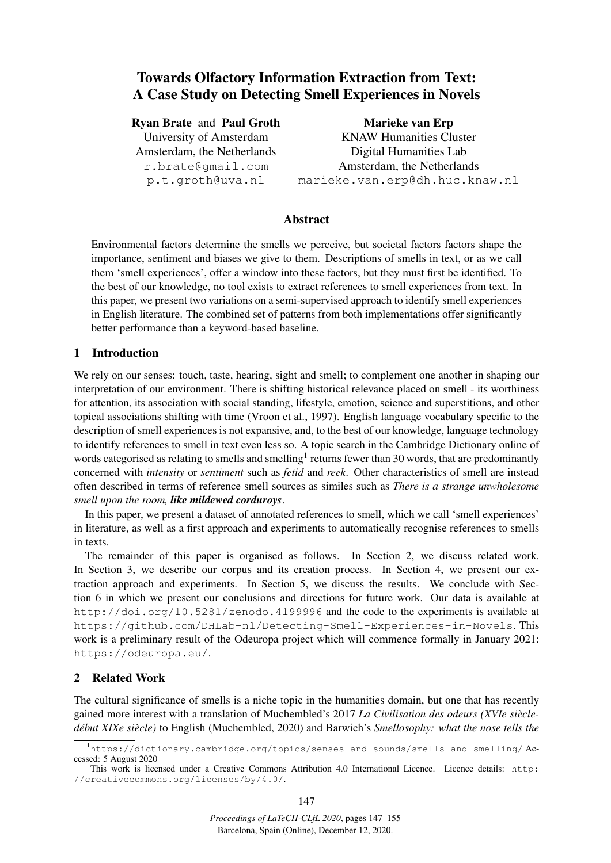# Towards Olfactory Information Extraction from Text: A Case Study on Detecting Smell Experiences in Novels

## Ryan Brate and Paul Groth

University of Amsterdam Amsterdam, the Netherlands r.brate@gmail.com p.t.groth@uva.nl

Marieke van Erp KNAW Humanities Cluster Digital Humanities Lab Amsterdam, the Netherlands marieke.van.erp@dh.huc.knaw.nl

# Abstract

Environmental factors determine the smells we perceive, but societal factors factors shape the importance, sentiment and biases we give to them. Descriptions of smells in text, or as we call them 'smell experiences', offer a window into these factors, but they must first be identified. To the best of our knowledge, no tool exists to extract references to smell experiences from text. In this paper, we present two variations on a semi-supervised approach to identify smell experiences in English literature. The combined set of patterns from both implementations offer significantly better performance than a keyword-based baseline.

## 1 Introduction

We rely on our senses: touch, taste, hearing, sight and smell; to complement one another in shaping our interpretation of our environment. There is shifting historical relevance placed on smell - its worthiness for attention, its association with social standing, lifestyle, emotion, science and superstitions, and other topical associations shifting with time (Vroon et al., 1997). English language vocabulary specific to the description of smell experiences is not expansive, and, to the best of our knowledge, language technology to identify references to smell in text even less so. A topic search in the Cambridge Dictionary online of words categorised as relating to smells and smelling<sup>1</sup> returns fewer than 30 words, that are predominantly concerned with *intensity* or *sentiment* such as *fetid* and *reek*. Other characteristics of smell are instead often described in terms of reference smell sources as similes such as *There is a strange unwholesome smell upon the room, like mildewed corduroys*.

In this paper, we present a dataset of annotated references to smell, which we call 'smell experiences' in literature, as well as a first approach and experiments to automatically recognise references to smells in texts.

The remainder of this paper is organised as follows. In Section 2, we discuss related work. In Section 3, we describe our corpus and its creation process. In Section 4, we present our extraction approach and experiments. In Section 5, we discuss the results. We conclude with Section 6 in which we present our conclusions and directions for future work. Our data is available at http://doi.org/10.5281/zenodo.4199996 and the code to the experiments is available at https://github.com/DHLab-nl/Detecting-Smell-Experiences-in-Novels. This work is a preliminary result of the Odeuropa project which will commence formally in January 2021: https://odeuropa.eu/.

## 2 Related Work

The cultural significance of smells is a niche topic in the humanities domain, but one that has recently gained more interest with a translation of Muchembled's 2017 *La Civilisation des odeurs (XVIe siecle- ` debut XIXe si ´ ecle) `* to English (Muchembled, 2020) and Barwich's *Smellosophy: what the nose tells the*

<sup>&</sup>lt;sup>1</sup>https://dictionary.cambridge.org/topics/senses-and-sounds/smells-and-smelling/Accessed: 5 August 2020

This work is licensed under a Creative Commons Attribution 4.0 International Licence. Licence details: http: //creativecommons.org/licenses/by/4.0/.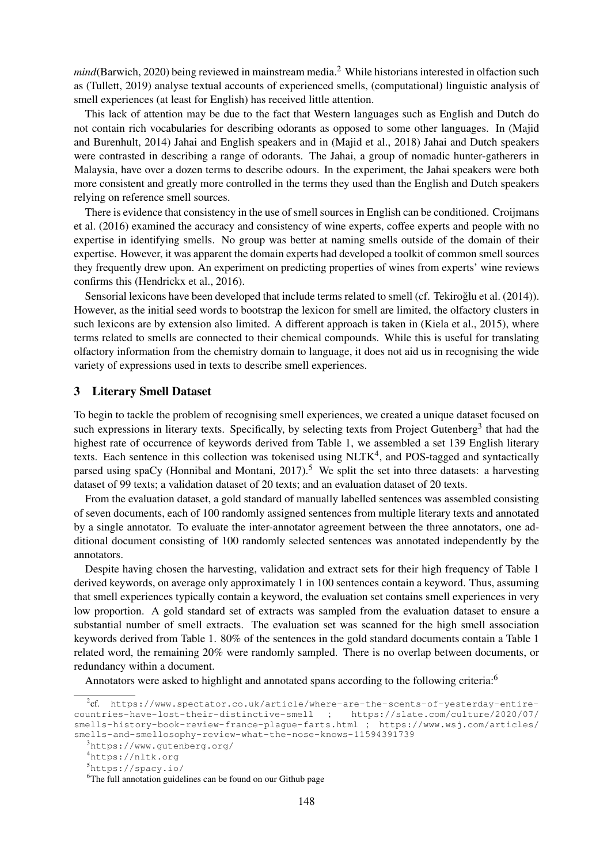*mind* (Barwich, 2020) being reviewed in mainstream media.<sup>2</sup> While historians interested in olfaction such as (Tullett, 2019) analyse textual accounts of experienced smells, (computational) linguistic analysis of smell experiences (at least for English) has received little attention.

This lack of attention may be due to the fact that Western languages such as English and Dutch do not contain rich vocabularies for describing odorants as opposed to some other languages. In (Majid and Burenhult, 2014) Jahai and English speakers and in (Majid et al., 2018) Jahai and Dutch speakers were contrasted in describing a range of odorants. The Jahai, a group of nomadic hunter-gatherers in Malaysia, have over a dozen terms to describe odours. In the experiment, the Jahai speakers were both more consistent and greatly more controlled in the terms they used than the English and Dutch speakers relying on reference smell sources.

There is evidence that consistency in the use of smell sources in English can be conditioned. Croijmans et al. (2016) examined the accuracy and consistency of wine experts, coffee experts and people with no expertise in identifying smells. No group was better at naming smells outside of the domain of their expertise. However, it was apparent the domain experts had developed a toolkit of common smell sources they frequently drew upon. An experiment on predicting properties of wines from experts' wine reviews confirms this (Hendrickx et al., 2016).

Sensorial lexicons have been developed that include terms related to smell (cf. Tekiroğlu et al. (2014)). However, as the initial seed words to bootstrap the lexicon for smell are limited, the olfactory clusters in such lexicons are by extension also limited. A different approach is taken in (Kiela et al., 2015), where terms related to smells are connected to their chemical compounds. While this is useful for translating olfactory information from the chemistry domain to language, it does not aid us in recognising the wide variety of expressions used in texts to describe smell experiences.

#### 3 Literary Smell Dataset

To begin to tackle the problem of recognising smell experiences, we created a unique dataset focused on such expressions in literary texts. Specifically, by selecting texts from Project Gutenberg<sup>3</sup> that had the highest rate of occurrence of keywords derived from Table 1, we assembled a set 139 English literary texts. Each sentence in this collection was tokenised using NLTK<sup>4</sup>, and POS-tagged and syntactically parsed using spaCy (Honnibal and Montani, 2017).<sup>5</sup> We split the set into three datasets: a harvesting dataset of 99 texts; a validation dataset of 20 texts; and an evaluation dataset of 20 texts.

From the evaluation dataset, a gold standard of manually labelled sentences was assembled consisting of seven documents, each of 100 randomly assigned sentences from multiple literary texts and annotated by a single annotator. To evaluate the inter-annotator agreement between the three annotators, one additional document consisting of 100 randomly selected sentences was annotated independently by the annotators.

Despite having chosen the harvesting, validation and extract sets for their high frequency of Table 1 derived keywords, on average only approximately 1 in 100 sentences contain a keyword. Thus, assuming that smell experiences typically contain a keyword, the evaluation set contains smell experiences in very low proportion. A gold standard set of extracts was sampled from the evaluation dataset to ensure a substantial number of smell extracts. The evaluation set was scanned for the high smell association keywords derived from Table 1. 80% of the sentences in the gold standard documents contain a Table 1 related word, the remaining 20% were randomly sampled. There is no overlap between documents, or redundancy within a document.

Annotators were asked to highlight and annotated spans according to the following criteria:<sup>6</sup>

<sup>2</sup> cf. https://www.spectator.co.uk/article/where-are-the-scents-of-yesterday-entirecountries-have-lost-their-distinctive-smell ; https://slate.com/culture/2020/07/ smells-history-book-review-france-plague-farts.html ; https://www.wsj.com/articles/ smells-and-smellosophy-review-what-the-nose-knows-11594391739

<sup>3</sup>https://www.gutenberg.org/

<sup>4</sup>https://nltk.org

<sup>5</sup>https://spacy.io/

<sup>&</sup>lt;sup>6</sup>The full annotation guidelines can be found on our Github page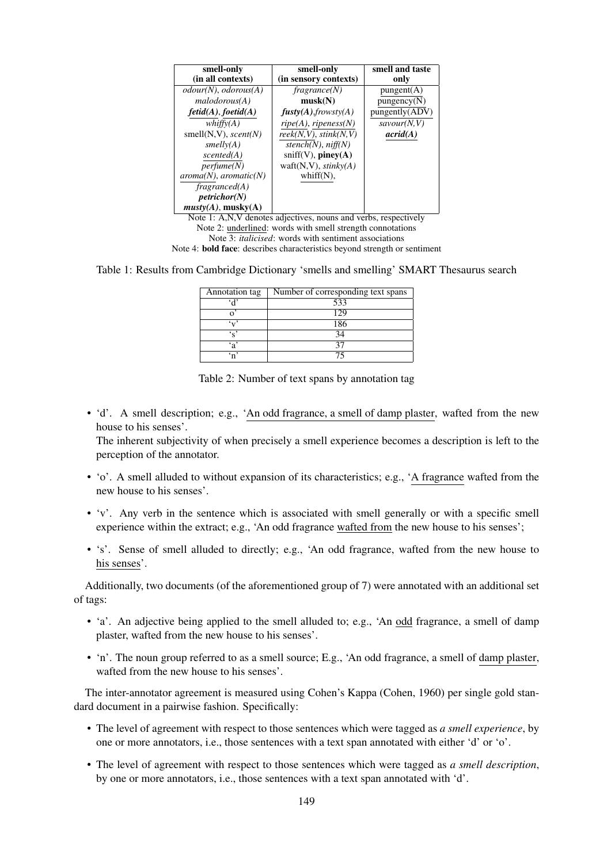| smell-only                   | smell-only               | smell and taste  |
|------------------------------|--------------------------|------------------|
| (in all contexts)            | (in sensory contexts)    | only             |
| $odour(N)$ , $odorous(A)$    | fragmente(N)             | $p$ ungent $(A)$ |
| malodorous(A)                | musk(N)                  | pungency(N)      |
| $fetid(A)$ , $foetid(A)$     | fusty(A), frowsty(A)     | pungently(ADV)   |
| whiffv(A)                    | $ripe(A)$ , ripeness(N)  | savour(N, V)     |
| smell $(N, V)$ , scent $(N)$ | reek(N, V), stink(N, V)  | $\arcd( A )$     |
| smelly(A)                    | stench(N), niff(N)       |                  |
| scented(A)                   | $sniff(V)$ , piney $(A)$ |                  |
| perfume(N)                   | waft(N,V), $stinkv(A)$   |                  |
| $aroma(N)$ , $aromatic(N)$   | whiff $(N)$ ,            |                  |
| fragranced(A)                |                          |                  |
| petrichor(N)                 |                          |                  |
| musty(A), musty(A)           |                          | $\sim$           |

Note 1: A,N,V denotes adjectives, nouns and verbs, respectively Note 2: underlined: words with smell strength connotations Note 3: *italicised*: words with sentiment associations Note 4: bold face: describes characteristics beyond strength or sentiment

Table 1: Results from Cambridge Dictionary 'smells and smelling' SMART Thesaurus search

| Annotation tag  | Number of corresponding text spans |  |  |
|-----------------|------------------------------------|--|--|
|                 | 533                                |  |  |
|                 | 129                                |  |  |
|                 | 186                                |  |  |
| $\cdot$ $\cdot$ | 34                                 |  |  |
| ٠,              |                                    |  |  |
|                 |                                    |  |  |

Table 2: Number of text spans by annotation tag

• 'd'. A smell description; e.g., 'An odd fragrance, a smell of damp plaster, wafted from the new house to his senses'.

The inherent subjectivity of when precisely a smell experience becomes a description is left to the perception of the annotator.

- 'o'. A smell alluded to without expansion of its characteristics; e.g., 'A fragrance wafted from the new house to his senses'.
- 'v'. Any verb in the sentence which is associated with smell generally or with a specific smell experience within the extract; e.g., 'An odd fragrance wafted from the new house to his senses';
- 's'. Sense of smell alluded to directly; e.g., 'An odd fragrance, wafted from the new house to his senses'.

Additionally, two documents (of the aforementioned group of 7) were annotated with an additional set of tags:

- 'a'. An adjective being applied to the smell alluded to; e.g., 'An odd fragrance, a smell of damp plaster, wafted from the new house to his senses'.
- 'n'. The noun group referred to as a smell source; E.g., 'An odd fragrance, a smell of damp plaster, wafted from the new house to his senses'.

The inter-annotator agreement is measured using Cohen's Kappa (Cohen, 1960) per single gold standard document in a pairwise fashion. Specifically:

- The level of agreement with respect to those sentences which were tagged as *a smell experience*, by one or more annotators, i.e., those sentences with a text span annotated with either 'd' or 'o'.
- The level of agreement with respect to those sentences which were tagged as *a smell description*, by one or more annotators, i.e., those sentences with a text span annotated with 'd'.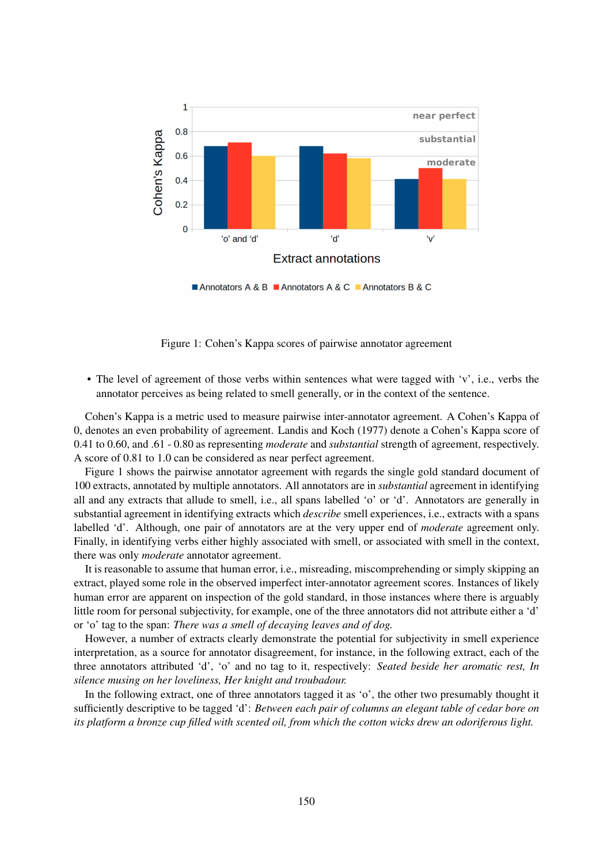

Figure 1: Cohen's Kappa scores of pairwise annotator agreement

• The level of agreement of those verbs within sentences what were tagged with 'v', i.e., verbs the annotator perceives as being related to smell generally, or in the context of the sentence.

Cohen's Kappa is a metric used to measure pairwise inter-annotator agreement. A Cohen's Kappa of 0, denotes an even probability of agreement. Landis and Koch (1977) denote a Cohen's Kappa score of 0.41 to 0.60, and .61 - 0.80 as representing *moderate* and *substantial* strength of agreement, respectively. A score of 0.81 to 1.0 can be considered as near perfect agreement.

Figure 1 shows the pairwise annotator agreement with regards the single gold standard document of 100 extracts, annotated by multiple annotators. All annotators are in *substantial* agreement in identifying all and any extracts that allude to smell, i.e., all spans labelled 'o' or 'd'. Annotators are generally in substantial agreement in identifying extracts which *describe* smell experiences, i.e., extracts with a spans labelled 'd'. Although, one pair of annotators are at the very upper end of *moderate* agreement only. Finally, in identifying verbs either highly associated with smell, or associated with smell in the context, there was only *moderate* annotator agreement.

It is reasonable to assume that human error, i.e., misreading, miscomprehending or simply skipping an extract, played some role in the observed imperfect inter-annotator agreement scores. Instances of likely human error are apparent on inspection of the gold standard, in those instances where there is arguably little room for personal subjectivity, for example, one of the three annotators did not attribute either a 'd' or 'o' tag to the span: *There was a smell of decaying leaves and of dog.*

However, a number of extracts clearly demonstrate the potential for subjectivity in smell experience interpretation, as a source for annotator disagreement, for instance, in the following extract, each of the three annotators attributed 'd', 'o' and no tag to it, respectively: *Seated beside her aromatic rest, In silence musing on her loveliness, Her knight and troubadour.*

In the following extract, one of three annotators tagged it as 'o', the other two presumably thought it sufficiently descriptive to be tagged 'd': *Between each pair of columns an elegant table of cedar bore on its platform a bronze cup filled with scented oil, from which the cotton wicks drew an odoriferous light.*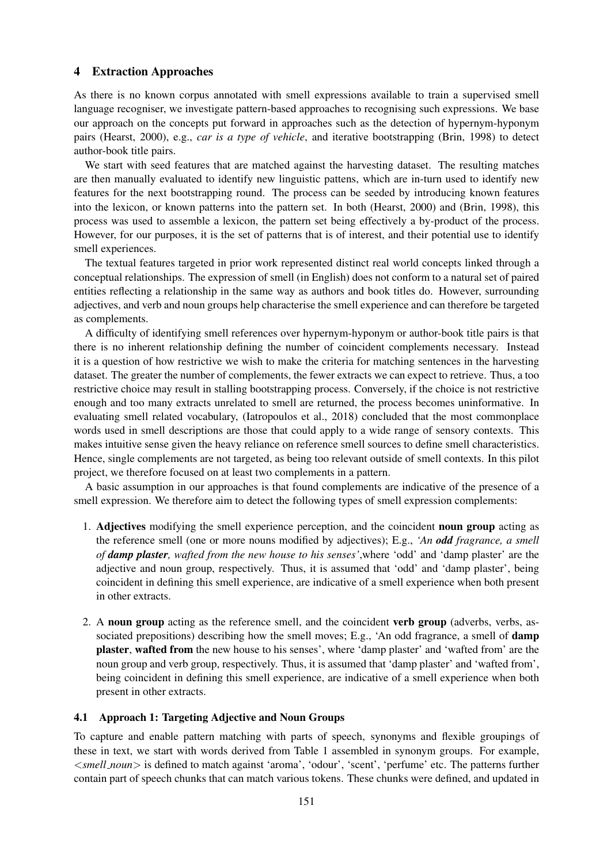## 4 Extraction Approaches

As there is no known corpus annotated with smell expressions available to train a supervised smell language recogniser, we investigate pattern-based approaches to recognising such expressions. We base our approach on the concepts put forward in approaches such as the detection of hypernym-hyponym pairs (Hearst, 2000), e.g., *car is a type of vehicle*, and iterative bootstrapping (Brin, 1998) to detect author-book title pairs.

We start with seed features that are matched against the harvesting dataset. The resulting matches are then manually evaluated to identify new linguistic pattens, which are in-turn used to identify new features for the next bootstrapping round. The process can be seeded by introducing known features into the lexicon, or known patterns into the pattern set. In both (Hearst, 2000) and (Brin, 1998), this process was used to assemble a lexicon, the pattern set being effectively a by-product of the process. However, for our purposes, it is the set of patterns that is of interest, and their potential use to identify smell experiences.

The textual features targeted in prior work represented distinct real world concepts linked through a conceptual relationships. The expression of smell (in English) does not conform to a natural set of paired entities reflecting a relationship in the same way as authors and book titles do. However, surrounding adjectives, and verb and noun groups help characterise the smell experience and can therefore be targeted as complements.

A difficulty of identifying smell references over hypernym-hyponym or author-book title pairs is that there is no inherent relationship defining the number of coincident complements necessary. Instead it is a question of how restrictive we wish to make the criteria for matching sentences in the harvesting dataset. The greater the number of complements, the fewer extracts we can expect to retrieve. Thus, a too restrictive choice may result in stalling bootstrapping process. Conversely, if the choice is not restrictive enough and too many extracts unrelated to smell are returned, the process becomes uninformative. In evaluating smell related vocabulary, (Iatropoulos et al., 2018) concluded that the most commonplace words used in smell descriptions are those that could apply to a wide range of sensory contexts. This makes intuitive sense given the heavy reliance on reference smell sources to define smell characteristics. Hence, single complements are not targeted, as being too relevant outside of smell contexts. In this pilot project, we therefore focused on at least two complements in a pattern.

A basic assumption in our approaches is that found complements are indicative of the presence of a smell expression. We therefore aim to detect the following types of smell expression complements:

- 1. Adjectives modifying the smell experience perception, and the coincident noun group acting as the reference smell (one or more nouns modified by adjectives); E.g., *'An odd fragrance, a smell of damp plaster, wafted from the new house to his senses'*,where 'odd' and 'damp plaster' are the adjective and noun group, respectively. Thus, it is assumed that 'odd' and 'damp plaster', being coincident in defining this smell experience, are indicative of a smell experience when both present in other extracts.
- 2. A noun group acting as the reference smell, and the coincident verb group (adverbs, verbs, associated prepositions) describing how the smell moves; E.g., 'An odd fragrance, a smell of **damp** plaster, wafted from the new house to his senses', where 'damp plaster' and 'wafted from' are the noun group and verb group, respectively. Thus, it is assumed that 'damp plaster' and 'wafted from', being coincident in defining this smell experience, are indicative of a smell experience when both present in other extracts.

#### 4.1 Approach 1: Targeting Adjective and Noun Groups

To capture and enable pattern matching with parts of speech, synonyms and flexible groupings of these in text, we start with words derived from Table 1 assembled in synonym groups. For example, <*smell noun*> is defined to match against 'aroma', 'odour', 'scent', 'perfume' etc. The patterns further contain part of speech chunks that can match various tokens. These chunks were defined, and updated in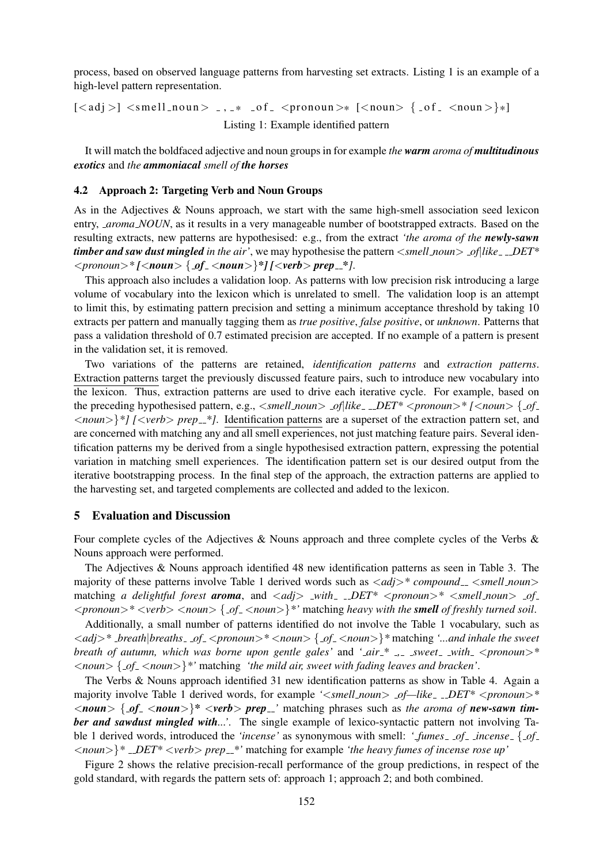process, based on observed language patterns from harvesting set extracts. Listing 1 is an example of a high-level pattern representation.

 $\lceil \langle \text{adj} \rangle \rceil \langle \text{small}_n \text{oun} \rangle$   $\ldots$  \*  $\lceil \text{of} \rangle$   $\langle \text{ground} \rangle$   $\lceil \langle \text{noun} \rangle \rceil$   $\{ \text{of} \rangle \langle \text{noun} \rangle \}$ Listing 1: Example identified pattern

It will match the boldfaced adjective and noun groups in for example *the warm aroma of multitudinous exotics* and *the ammoniacal smell of the horses*

#### 4.2 Approach 2: Targeting Verb and Noun Groups

As in the Adjectives & Nouns approach, we start with the same high-smell association seed lexicon entry, *aroma NOUN*, as it results in a very manageable number of bootstrapped extracts. Based on the resulting extracts, new patterns are hypothesised: e.g., from the extract *'the aroma of the newly-sawn timber and saw dust mingled in the air'*, we may hypothesise the pattern <*smell\_noun> \_of*|like\_\_DET\* <*pronoun*>*\* [*<*noun*> { *of* <*noun*>}*\*] [*<*verb*> *prep \*]*.

This approach also includes a validation loop. As patterns with low precision risk introducing a large volume of vocabulary into the lexicon which is unrelated to smell. The validation loop is an attempt to limit this, by estimating pattern precision and setting a minimum acceptance threshold by taking 10 extracts per pattern and manually tagging them as *true positive*, *false positive*, or *unknown*. Patterns that pass a validation threshold of 0.7 estimated precision are accepted. If no example of a pattern is present in the validation set, it is removed.

Two variations of the patterns are retained, *identification patterns* and *extraction patterns*. Extraction patterns target the previously discussed feature pairs, such to introduce new vocabulary into the lexicon. Thus, extraction patterns are used to drive each iterative cycle. For example, based on the preceding hypothesised pattern, e.g.,  $\langle \textit{small_noun} \rangle$  *\_of*|like\_ \_DET\*  $\langle \textit{pronoun} \rangle$  \*  $\langle \textit{column} \rangle$  {  $\varphi f$ <*noun*>}*\*] [*<*verb*> *prep \*]*. Identification patterns are a superset of the extraction pattern set, and are concerned with matching any and all smell experiences, not just matching feature pairs. Several identification patterns my be derived from a single hypothesised extraction pattern, expressing the potential variation in matching smell experiences. The identification pattern set is our desired output from the iterative bootstrapping process. In the final step of the approach, the extraction patterns are applied to the harvesting set, and targeted complements are collected and added to the lexicon.

## 5 Evaluation and Discussion

Four complete cycles of the Adjectives & Nouns approach and three complete cycles of the Verbs & Nouns approach were performed.

The Adjectives & Nouns approach identified 48 new identification patterns as seen in Table 3. The majority of these patterns involve Table 1 derived words such as  $\langle add \rangle^* compound \rangle$  *smell noun* matching *a delightful forest aroma*, and <*adj*> *with DET\** <*pronoun*>*\** <*smell noun*> *of* <*pronoun*>*\** <*verb*> <*noun*> { *of* <*noun*>}*\*'* matching *heavy with the smell of freshly turned soil*.

Additionally, a small number of patterns identified do not involve the Table 1 vocabulary, such as <*adj*>*\* breath*|*breaths of* <*pronoun*>*\** <*noun*> { *of* <*noun*>}*\** matching *'...and inhale the sweet breath of autumn, which was borne upon gentle gales'* and *' air \* , sweet with* <*pronoun*>*\** <*noun*> { *of* <*noun*>}*\*'* matching *'the mild air, sweet with fading leaves and bracken'*.

The Verbs & Nouns approach identified 31 new identification patterns as show in Table 4. Again a majority involve Table 1 derived words, for example ' $\leq$ smell\_noun > \_of—like\_\_DET\*  $\leq$ pronoun > \*  $\langle$ *noun*  $\{$  *of*<sub>-</sub> $\langle$ *noun* $>$  $\}$ <sup>\*</sup> $\langle$ *verb* $>$ *prep*<sub>-</sub> $\}'$  matching phrases such as *the aroma of new-sawn timber and sawdust mingled with...'*. The single example of lexico-syntactic pattern not involving Table 1 derived words, introduced the *'incense'* as synonymous with smell: *' fumes of incense* { *of*  $\langle$  *noun*  $>\rangle$ <sup>\*</sup> *\_DET*\*  $\langle$ *verb*  $>$  *prep*  $\angle$ <sup>\*</sup>' matching for example *'the heavy fumes of incense rose up'* 

Figure 2 shows the relative precision-recall performance of the group predictions, in respect of the gold standard, with regards the pattern sets of: approach 1; approach 2; and both combined.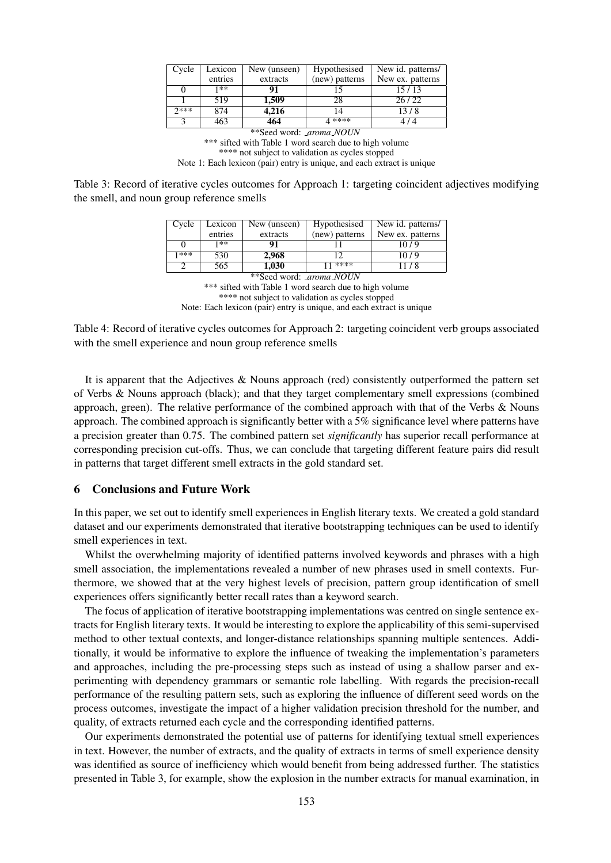| Cycle | Lexicon | New (unseen) | Hypothesised   | New id. patterns/ |
|-------|---------|--------------|----------------|-------------------|
|       | entries | extracts     | (new) patterns | New ex. patterns  |
|       | 1**     | 91           |                | 15/13             |
|       | 519     | 1,509        | 28             | 26/22             |
| つ***  | 874     | 4,216        | ۱4             | 13/8              |
|       | 463     | 464          | 4 ****         |                   |

\*\*Seed word: *aroma NOUN* \*\*\* sifted with Table 1 word search due to high volume \*\*\*\* not subject to validation as cycles stopped Note 1: Each lexicon (pair) entry is unique, and each extract is unique

Table 3: Record of iterative cycles outcomes for Approach 1: targeting coincident adjectives modifying the smell, and noun group reference smells

| Cycle                          | Lexicon | New (unseen) | Hypothesised   | New id. patterns/ |  |
|--------------------------------|---------|--------------|----------------|-------------------|--|
|                                | entries | extracts     | (new) patterns | New ex. patterns  |  |
|                                | 1**     | 91           |                | 10/9              |  |
| 1***                           | 530     | 2,968        |                | 10/9              |  |
|                                | 565     | 1,030        | $1 * * * * *$  | 11/8              |  |
| **Seed word: <i>aroma NOUN</i> |         |              |                |                   |  |

\*\*\* sifted with Table 1 word search due to high volume \*\*\*\* not subject to validation as cycles stopped Note: Each lexicon (pair) entry is unique, and each extract is unique

Table 4: Record of iterative cycles outcomes for Approach 2: targeting coincident verb groups associated with the smell experience and noun group reference smells

It is apparent that the Adjectives  $\&$  Nouns approach (red) consistently outperformed the pattern set of Verbs & Nouns approach (black); and that they target complementary smell expressions (combined approach, green). The relative performance of the combined approach with that of the Verbs & Nouns approach. The combined approach is significantly better with a 5% significance level where patterns have a precision greater than 0.75. The combined pattern set *significantly* has superior recall performance at corresponding precision cut-offs. Thus, we can conclude that targeting different feature pairs did result in patterns that target different smell extracts in the gold standard set.

## 6 Conclusions and Future Work

In this paper, we set out to identify smell experiences in English literary texts. We created a gold standard dataset and our experiments demonstrated that iterative bootstrapping techniques can be used to identify smell experiences in text.

Whilst the overwhelming majority of identified patterns involved keywords and phrases with a high smell association, the implementations revealed a number of new phrases used in smell contexts. Furthermore, we showed that at the very highest levels of precision, pattern group identification of smell experiences offers significantly better recall rates than a keyword search.

The focus of application of iterative bootstrapping implementations was centred on single sentence extracts for English literary texts. It would be interesting to explore the applicability of this semi-supervised method to other textual contexts, and longer-distance relationships spanning multiple sentences. Additionally, it would be informative to explore the influence of tweaking the implementation's parameters and approaches, including the pre-processing steps such as instead of using a shallow parser and experimenting with dependency grammars or semantic role labelling. With regards the precision-recall performance of the resulting pattern sets, such as exploring the influence of different seed words on the process outcomes, investigate the impact of a higher validation precision threshold for the number, and quality, of extracts returned each cycle and the corresponding identified patterns.

Our experiments demonstrated the potential use of patterns for identifying textual smell experiences in text. However, the number of extracts, and the quality of extracts in terms of smell experience density was identified as source of inefficiency which would benefit from being addressed further. The statistics presented in Table 3, for example, show the explosion in the number extracts for manual examination, in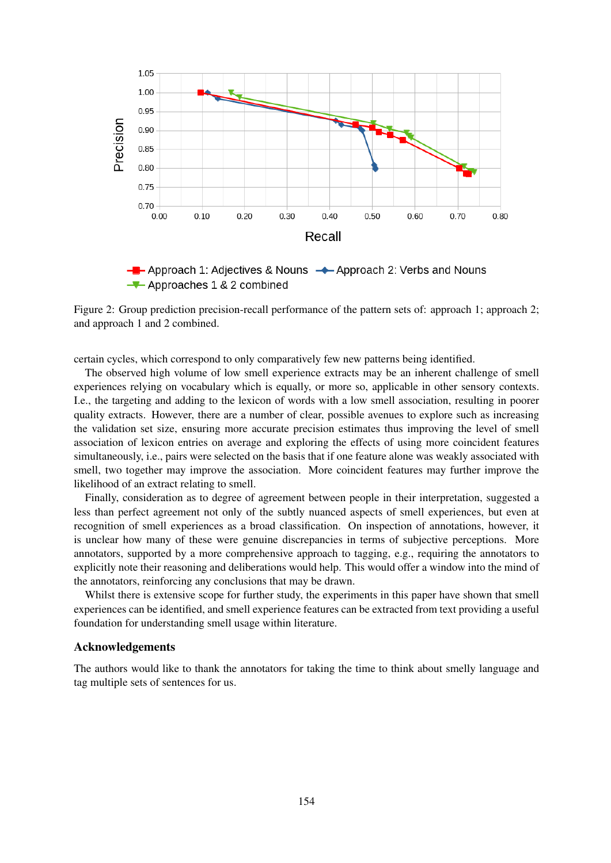

 $-\blacksquare$  Approach 1: Adjectives & Nouns  $\rightarrow$  Approach 2: Verbs and Nouns  $\rightarrow$  Approaches 1 & 2 combined

Figure 2: Group prediction precision-recall performance of the pattern sets of: approach 1; approach 2; and approach 1 and 2 combined.

certain cycles, which correspond to only comparatively few new patterns being identified.

The observed high volume of low smell experience extracts may be an inherent challenge of smell experiences relying on vocabulary which is equally, or more so, applicable in other sensory contexts. I.e., the targeting and adding to the lexicon of words with a low smell association, resulting in poorer quality extracts. However, there are a number of clear, possible avenues to explore such as increasing the validation set size, ensuring more accurate precision estimates thus improving the level of smell association of lexicon entries on average and exploring the effects of using more coincident features simultaneously, i.e., pairs were selected on the basis that if one feature alone was weakly associated with smell, two together may improve the association. More coincident features may further improve the likelihood of an extract relating to smell.

Finally, consideration as to degree of agreement between people in their interpretation, suggested a less than perfect agreement not only of the subtly nuanced aspects of smell experiences, but even at recognition of smell experiences as a broad classification. On inspection of annotations, however, it is unclear how many of these were genuine discrepancies in terms of subjective perceptions. More annotators, supported by a more comprehensive approach to tagging, e.g., requiring the annotators to explicitly note their reasoning and deliberations would help. This would offer a window into the mind of the annotators, reinforcing any conclusions that may be drawn.

Whilst there is extensive scope for further study, the experiments in this paper have shown that smell experiences can be identified, and smell experience features can be extracted from text providing a useful foundation for understanding smell usage within literature.

#### Acknowledgements

The authors would like to thank the annotators for taking the time to think about smelly language and tag multiple sets of sentences for us.